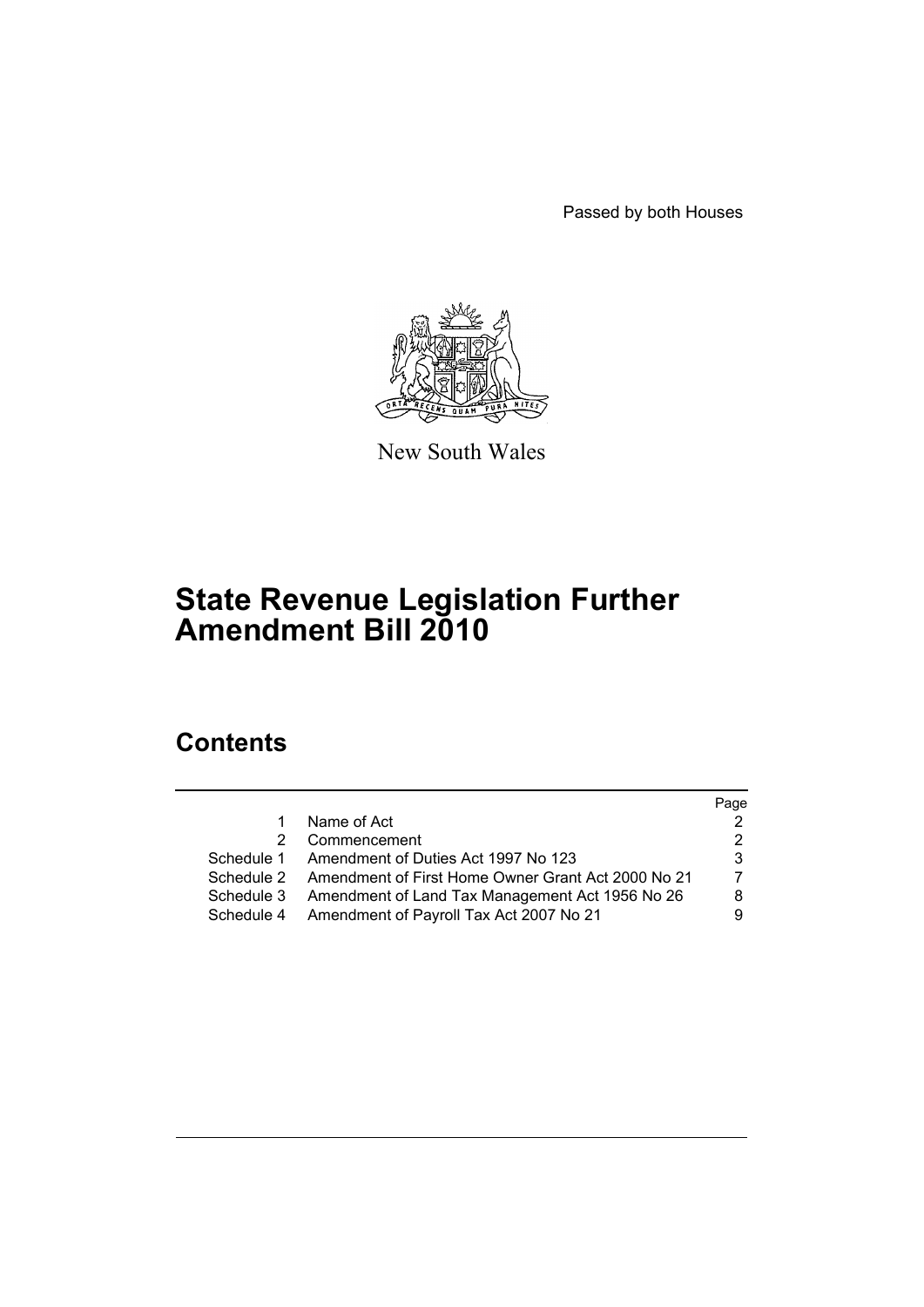Passed by both Houses



New South Wales

# **State Revenue Legislation Further Amendment Bill 2010**

# **Contents**

|            |                                                               | Page |
|------------|---------------------------------------------------------------|------|
| 1.         | Name of Act                                                   |      |
|            | 2 Commencement                                                |      |
|            | Schedule 1 Amendment of Duties Act 1997 No 123                | 3    |
|            | Schedule 2 Amendment of First Home Owner Grant Act 2000 No 21 |      |
| Schedule 3 | Amendment of Land Tax Management Act 1956 No 26               | 8    |
|            | Schedule 4 Amendment of Payroll Tax Act 2007 No 21            |      |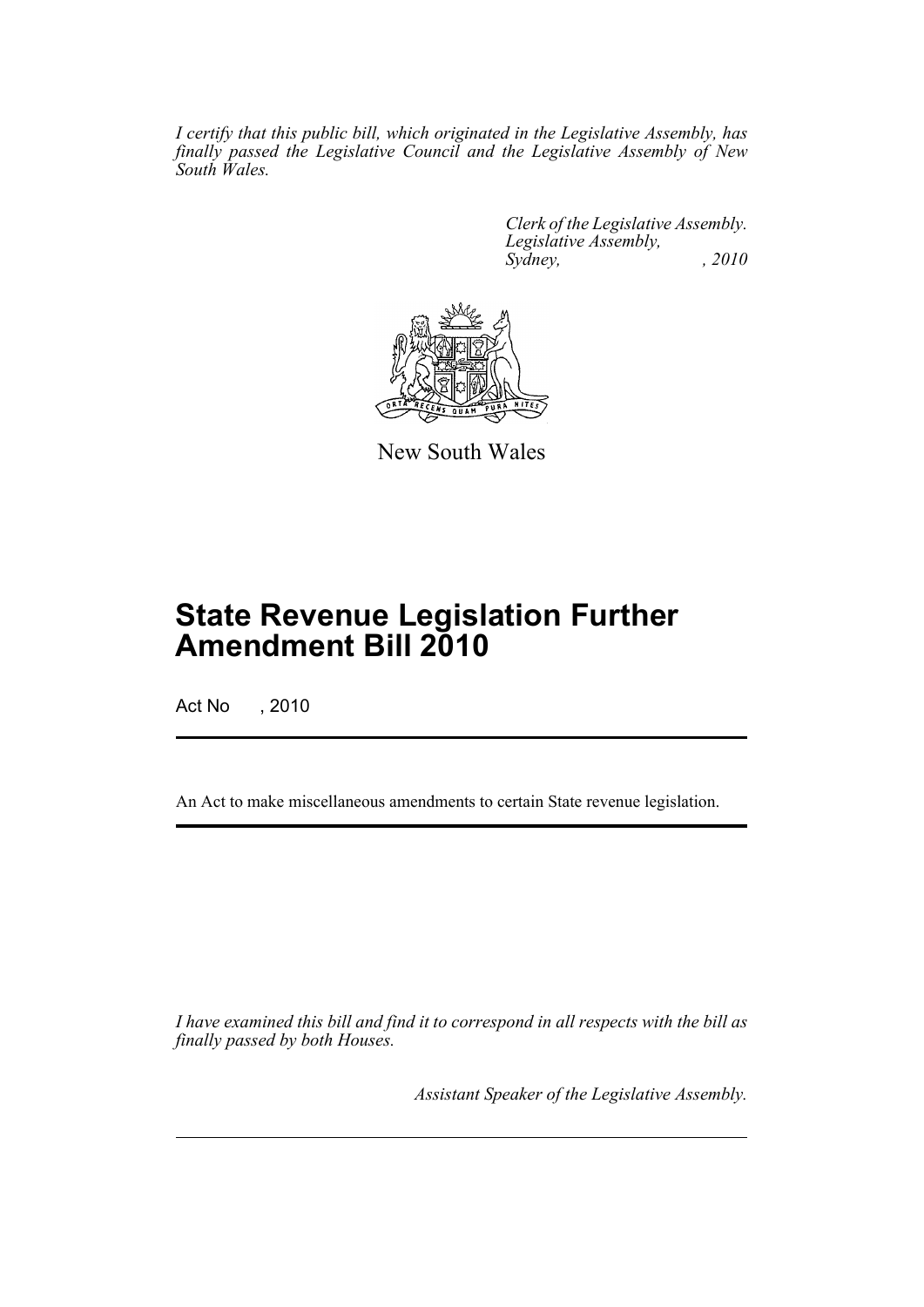*I certify that this public bill, which originated in the Legislative Assembly, has finally passed the Legislative Council and the Legislative Assembly of New South Wales.*

> *Clerk of the Legislative Assembly. Legislative Assembly, Sydney,* , 2010



New South Wales

# **State Revenue Legislation Further Amendment Bill 2010**

Act No , 2010

An Act to make miscellaneous amendments to certain State revenue legislation.

*I have examined this bill and find it to correspond in all respects with the bill as finally passed by both Houses.*

*Assistant Speaker of the Legislative Assembly.*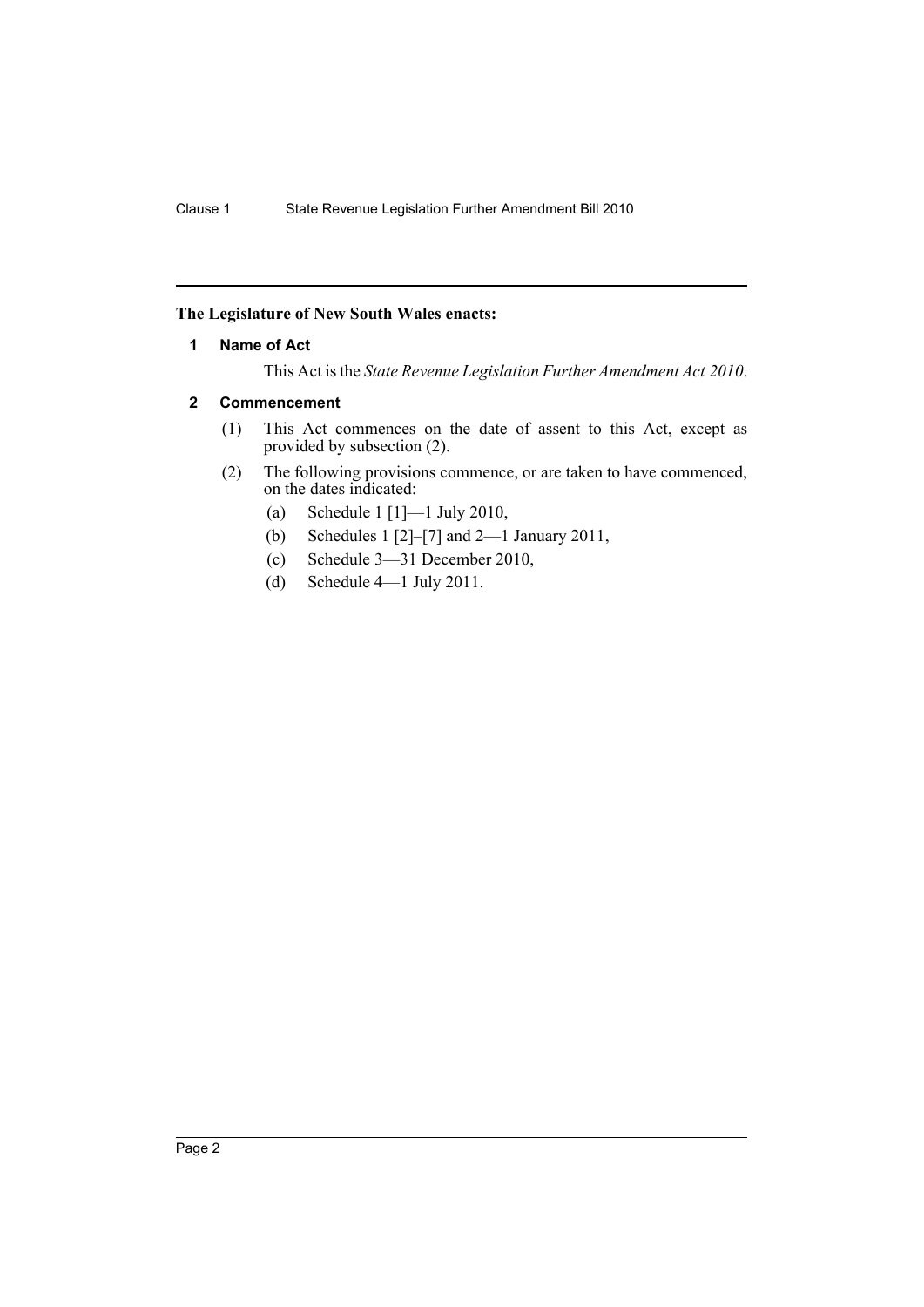# <span id="page-3-0"></span>**The Legislature of New South Wales enacts:**

## **1 Name of Act**

This Act is the *State Revenue Legislation Further Amendment Act 2010*.

## <span id="page-3-1"></span>**2 Commencement**

- (1) This Act commences on the date of assent to this Act, except as provided by subsection (2).
- (2) The following provisions commence, or are taken to have commenced, on the dates indicated:
	- (a) Schedule 1 [1]—1 July 2010,
	- (b) Schedules 1 [2]–[7] and 2—1 January 2011,
	- (c) Schedule 3—31 December 2010,
	- (d) Schedule 4—1 July 2011.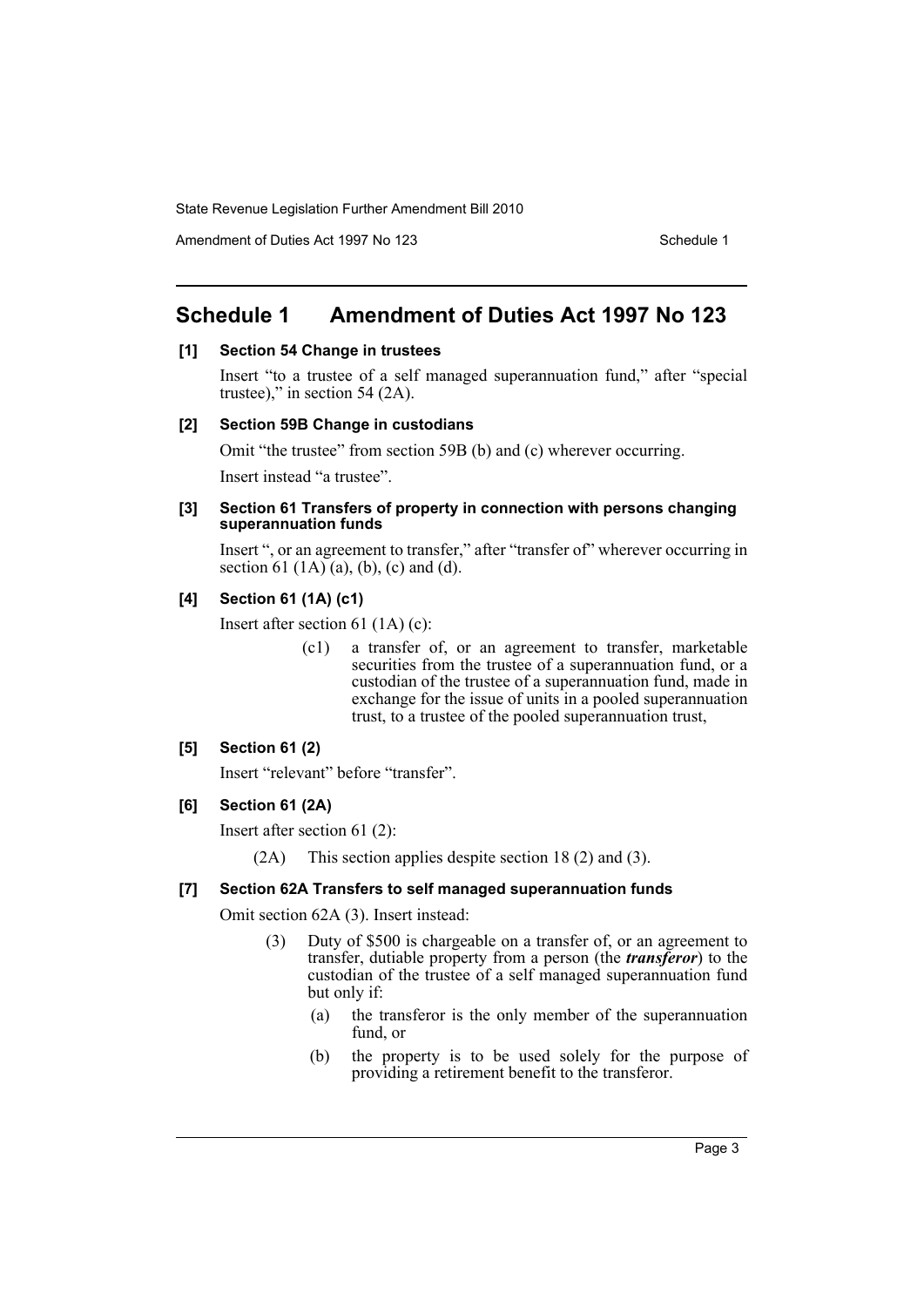Amendment of Duties Act 1997 No 123 Schedule 1

# <span id="page-4-0"></span>**Schedule 1 Amendment of Duties Act 1997 No 123**

## **[1] Section 54 Change in trustees**

Insert "to a trustee of a self managed superannuation fund," after "special trustee)," in section 54 (2A).

## **[2] Section 59B Change in custodians**

Omit "the trustee" from section 59B (b) and (c) wherever occurring.

Insert instead "a trustee".

#### **[3] Section 61 Transfers of property in connection with persons changing superannuation funds**

Insert ", or an agreement to transfer," after "transfer of" wherever occurring in section 61 (1A) (a), (b), (c) and (d).

# **[4] Section 61 (1A) (c1)**

Insert after section 61 (1A) (c):

(c1) a transfer of, or an agreement to transfer, marketable securities from the trustee of a superannuation fund, or a custodian of the trustee of a superannuation fund, made in exchange for the issue of units in a pooled superannuation trust, to a trustee of the pooled superannuation trust,

# **[5] Section 61 (2)**

Insert "relevant" before "transfer".

# **[6] Section 61 (2A)**

Insert after section 61 (2):

(2A) This section applies despite section 18 (2) and (3).

# **[7] Section 62A Transfers to self managed superannuation funds**

Omit section 62A (3). Insert instead:

- (3) Duty of \$500 is chargeable on a transfer of, or an agreement to transfer, dutiable property from a person (the *transferor*) to the custodian of the trustee of a self managed superannuation fund but only if:
	- (a) the transferor is the only member of the superannuation fund, or
	- (b) the property is to be used solely for the purpose of providing a retirement benefit to the transferor.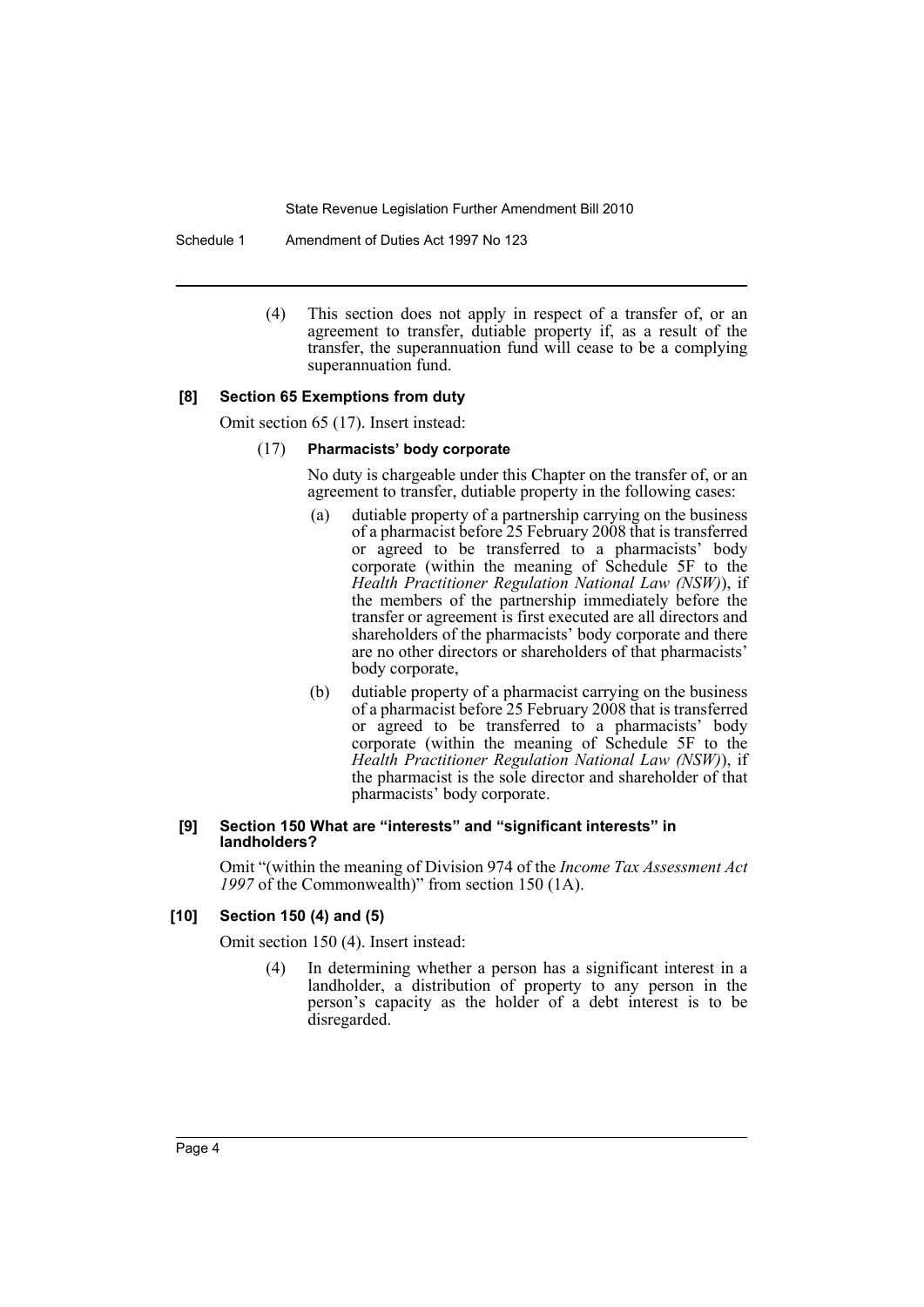Schedule 1 Amendment of Duties Act 1997 No 123

(4) This section does not apply in respect of a transfer of, or an agreement to transfer, dutiable property if, as a result of the transfer, the superannuation fund will cease to be a complying superannuation fund.

## **[8] Section 65 Exemptions from duty**

Omit section 65 (17). Insert instead:

## (17) **Pharmacists' body corporate**

No duty is chargeable under this Chapter on the transfer of, or an agreement to transfer, dutiable property in the following cases:

- (a) dutiable property of a partnership carrying on the business of a pharmacist before 25 February 2008 that is transferred or agreed to be transferred to a pharmacists' body corporate (within the meaning of Schedule 5F to the *Health Practitioner Regulation National Law (NSW)*), if the members of the partnership immediately before the transfer or agreement is first executed are all directors and shareholders of the pharmacists' body corporate and there are no other directors or shareholders of that pharmacists' body corporate,
- (b) dutiable property of a pharmacist carrying on the business of a pharmacist before 25 February 2008 that is transferred or agreed to be transferred to a pharmacists' body corporate (within the meaning of Schedule 5F to the *Health Practitioner Regulation National Law (NSW)*), if the pharmacist is the sole director and shareholder of that pharmacists' body corporate.

#### **[9] Section 150 What are "interests" and "significant interests" in landholders?**

Omit "(within the meaning of Division 974 of the *Income Tax Assessment Act 1997* of the Commonwealth)" from section 150 (1A).

# **[10] Section 150 (4) and (5)**

Omit section 150 (4). Insert instead:

(4) In determining whether a person has a significant interest in a landholder, a distribution of property to any person in the person's capacity as the holder of a debt interest is to be disregarded.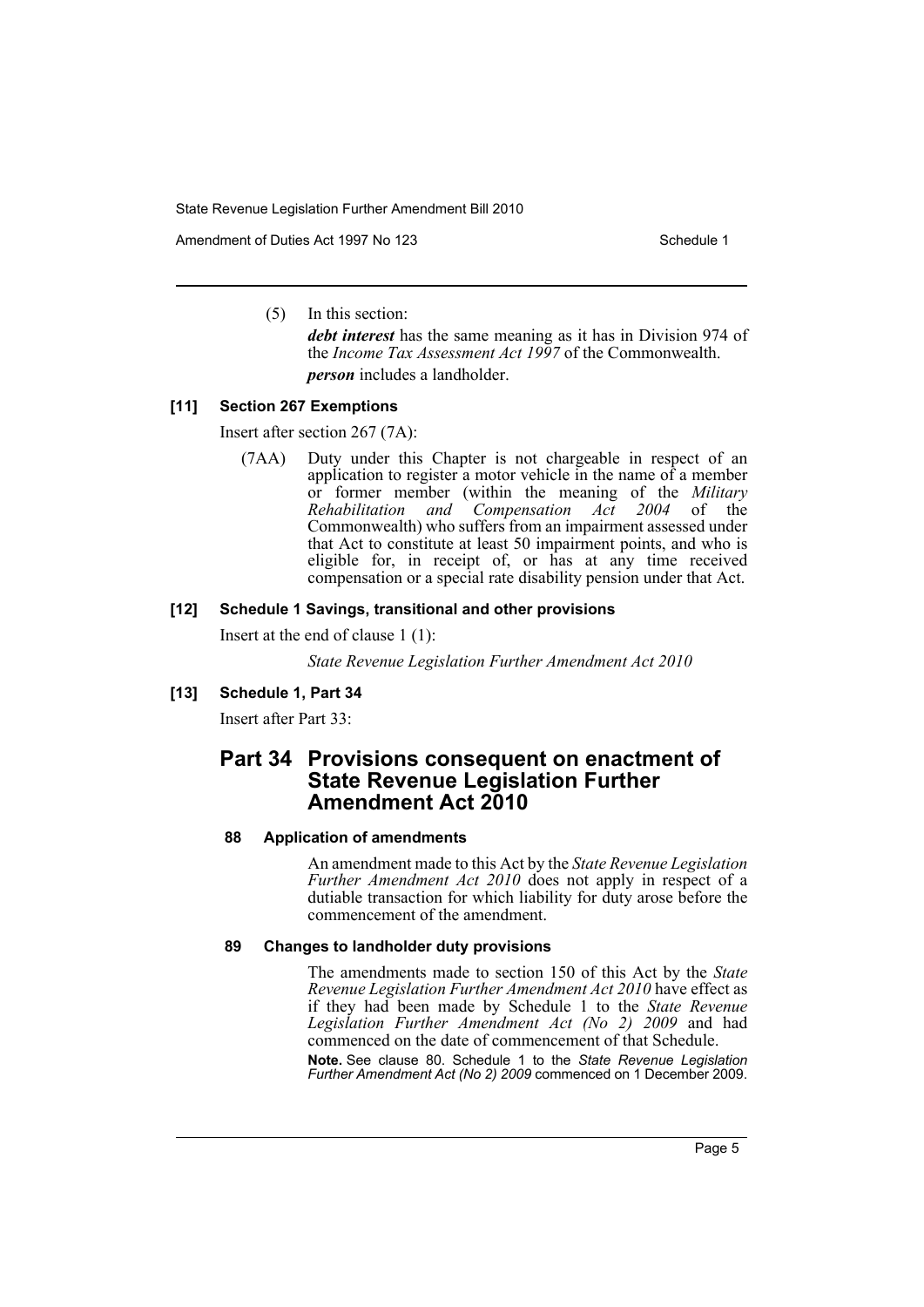Amendment of Duties Act 1997 No 123 Schedule 1

(5) In this section:

*debt interest* has the same meaning as it has in Division 974 of the *Income Tax Assessment Act 1997* of the Commonwealth. *person* includes a landholder.

# **[11] Section 267 Exemptions**

Insert after section 267 (7A):

(7AA) Duty under this Chapter is not chargeable in respect of an application to register a motor vehicle in the name of a member or former member (within the meaning of the *Military Rehabilitation and Compensation Act 2004* of the Commonwealth) who suffers from an impairment assessed under that Act to constitute at least 50 impairment points, and who is eligible for, in receipt of, or has at any time received compensation or a special rate disability pension under that Act.

#### **[12] Schedule 1 Savings, transitional and other provisions**

Insert at the end of clause 1 (1):

*State Revenue Legislation Further Amendment Act 2010*

#### **[13] Schedule 1, Part 34**

Insert after Part 33:

# **Part 34 Provisions consequent on enactment of State Revenue Legislation Further Amendment Act 2010**

#### **88 Application of amendments**

An amendment made to this Act by the *State Revenue Legislation Further Amendment Act 2010* does not apply in respect of a dutiable transaction for which liability for duty arose before the commencement of the amendment.

#### **89 Changes to landholder duty provisions**

The amendments made to section 150 of this Act by the *State Revenue Legislation Further Amendment Act 2010* have effect as if they had been made by Schedule 1 to the *State Revenue Legislation Further Amendment Act (No 2) 2009* and had commenced on the date of commencement of that Schedule.

**Note.** See clause 80. Schedule 1 to the *State Revenue Legislation Further Amendment Act (No 2) 2009* commenced on 1 December 2009.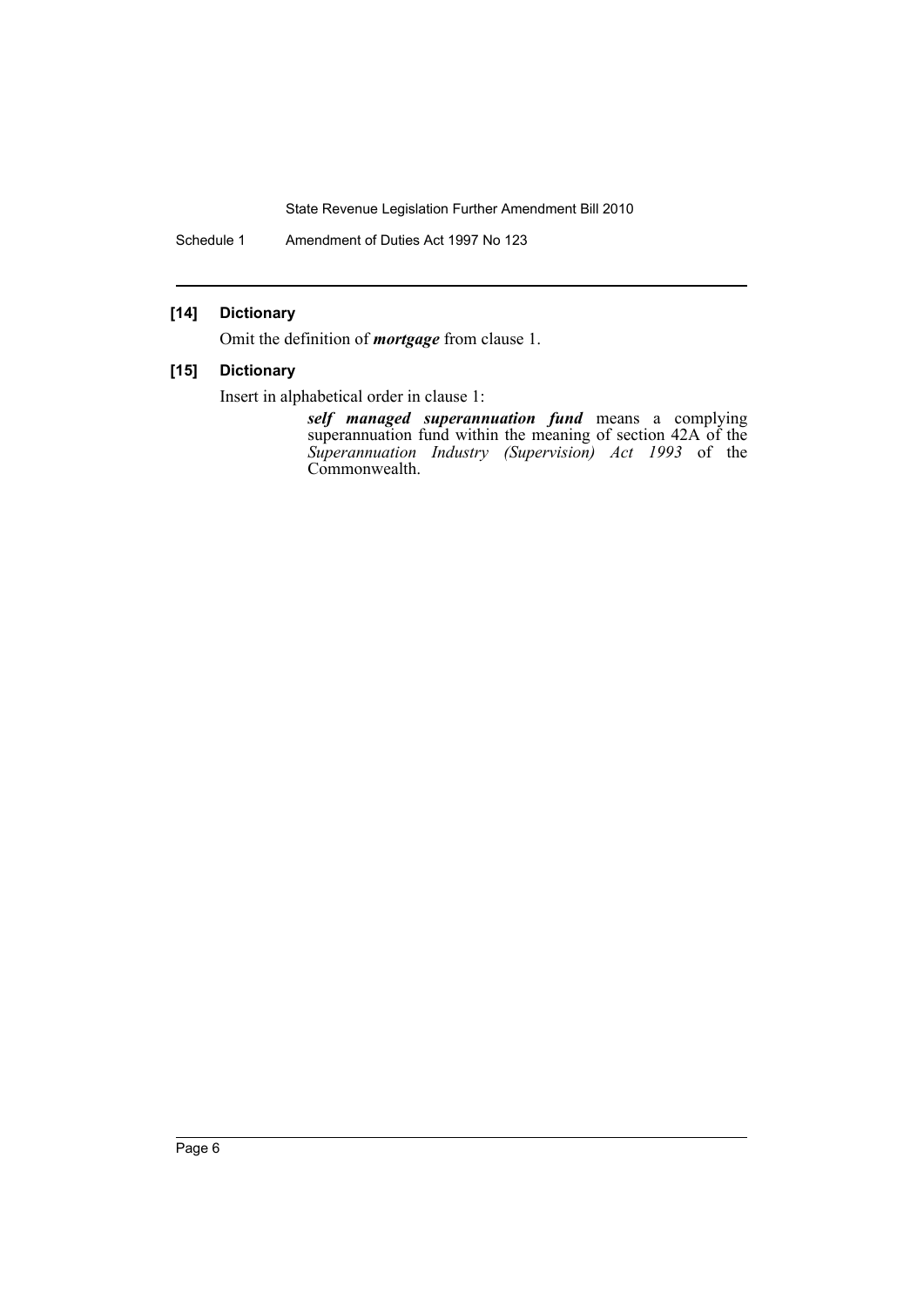Schedule 1 Amendment of Duties Act 1997 No 123

# **[14] Dictionary**

Omit the definition of *mortgage* from clause 1.

# **[15] Dictionary**

Insert in alphabetical order in clause 1:

*self managed superannuation fund* means a complying superannuation fund within the meaning of section 42A of the *Superannuation Industry (Supervision) Act 1993* of the Commonwealth.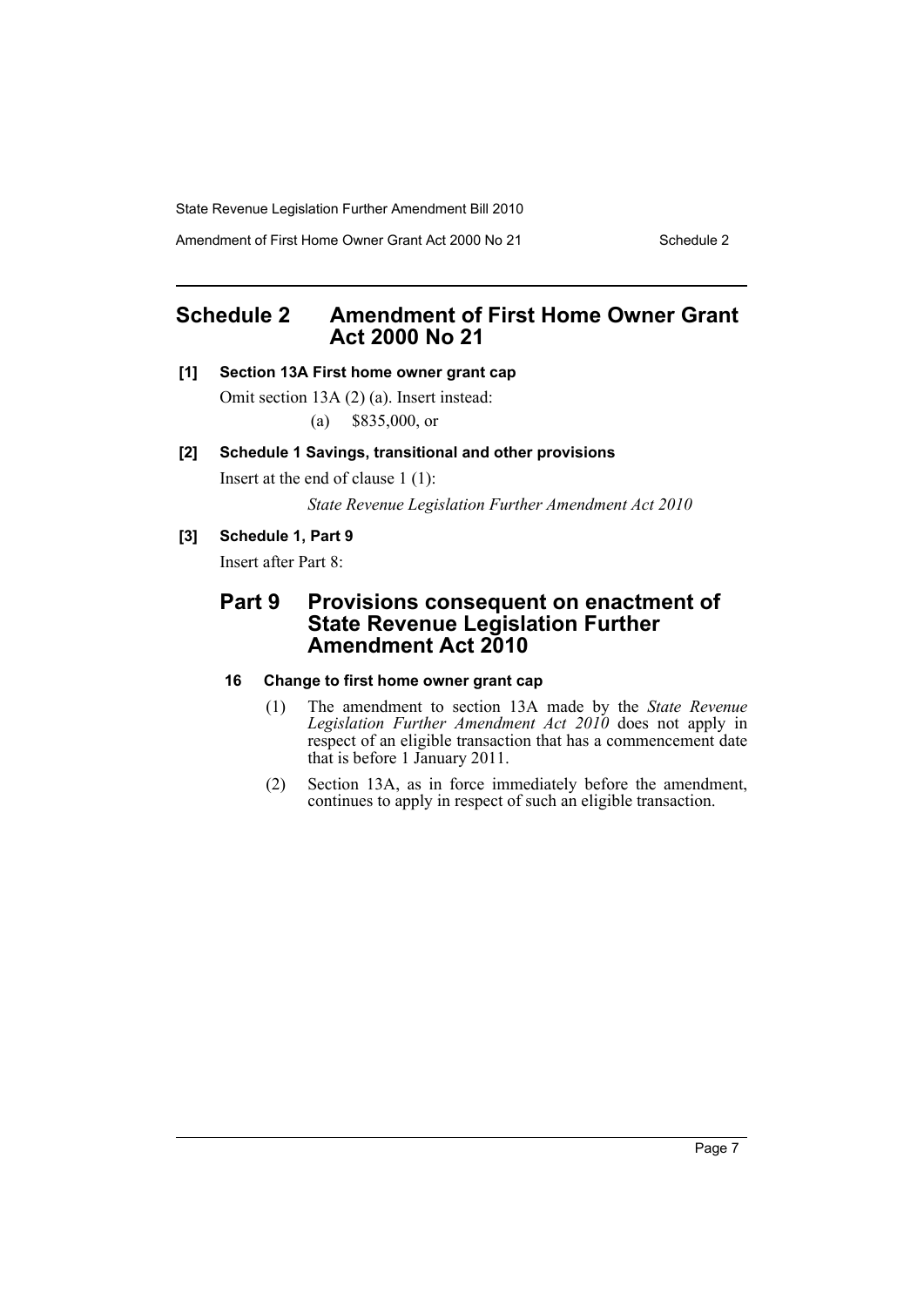Amendment of First Home Owner Grant Act 2000 No 21 Schedule 2

# <span id="page-8-0"></span>**Schedule 2 Amendment of First Home Owner Grant Act 2000 No 21**

# **[1] Section 13A First home owner grant cap**

Omit section 13A (2) (a). Insert instead: (a) \$835,000, or

## **[2] Schedule 1 Savings, transitional and other provisions**

Insert at the end of clause 1 (1):

*State Revenue Legislation Further Amendment Act 2010*

# **[3] Schedule 1, Part 9**

Insert after Part 8:

# **Part 9 Provisions consequent on enactment of State Revenue Legislation Further Amendment Act 2010**

# **16 Change to first home owner grant cap**

- (1) The amendment to section 13A made by the *State Revenue Legislation Further Amendment Act 2010* does not apply in respect of an eligible transaction that has a commencement date that is before 1 January 2011.
- (2) Section 13A, as in force immediately before the amendment, continues to apply in respect of such an eligible transaction.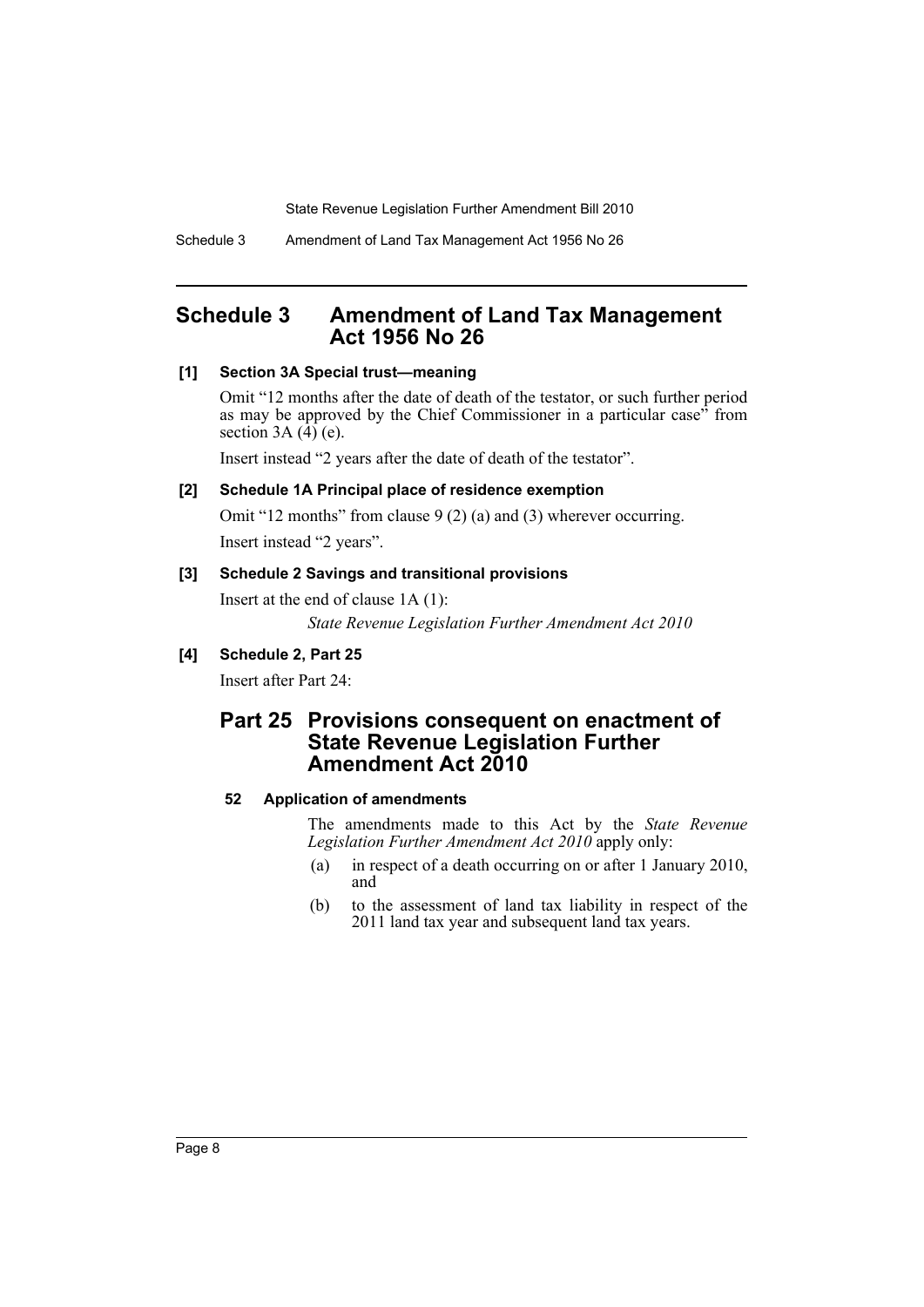# <span id="page-9-0"></span>**Schedule 3 Amendment of Land Tax Management Act 1956 No 26**

# **[1] Section 3A Special trust—meaning**

Omit "12 months after the date of death of the testator, or such further period as may be approved by the Chief Commissioner in a particular case<sup>35</sup> from section  $3A(4)$  (e).

Insert instead "2 years after the date of death of the testator".

## **[2] Schedule 1A Principal place of residence exemption**

Omit "12 months" from clause 9 (2) (a) and (3) wherever occurring. Insert instead "2 years".

#### **[3] Schedule 2 Savings and transitional provisions**

Insert at the end of clause 1A (1): *State Revenue Legislation Further Amendment Act 2010*

# **[4] Schedule 2, Part 25**

Insert after Part 24:

# **Part 25 Provisions consequent on enactment of State Revenue Legislation Further Amendment Act 2010**

# **52 Application of amendments**

The amendments made to this Act by the *State Revenue Legislation Further Amendment Act 2010* apply only:

- (a) in respect of a death occurring on or after 1 January 2010, and
- (b) to the assessment of land tax liability in respect of the 2011 land tax year and subsequent land tax years.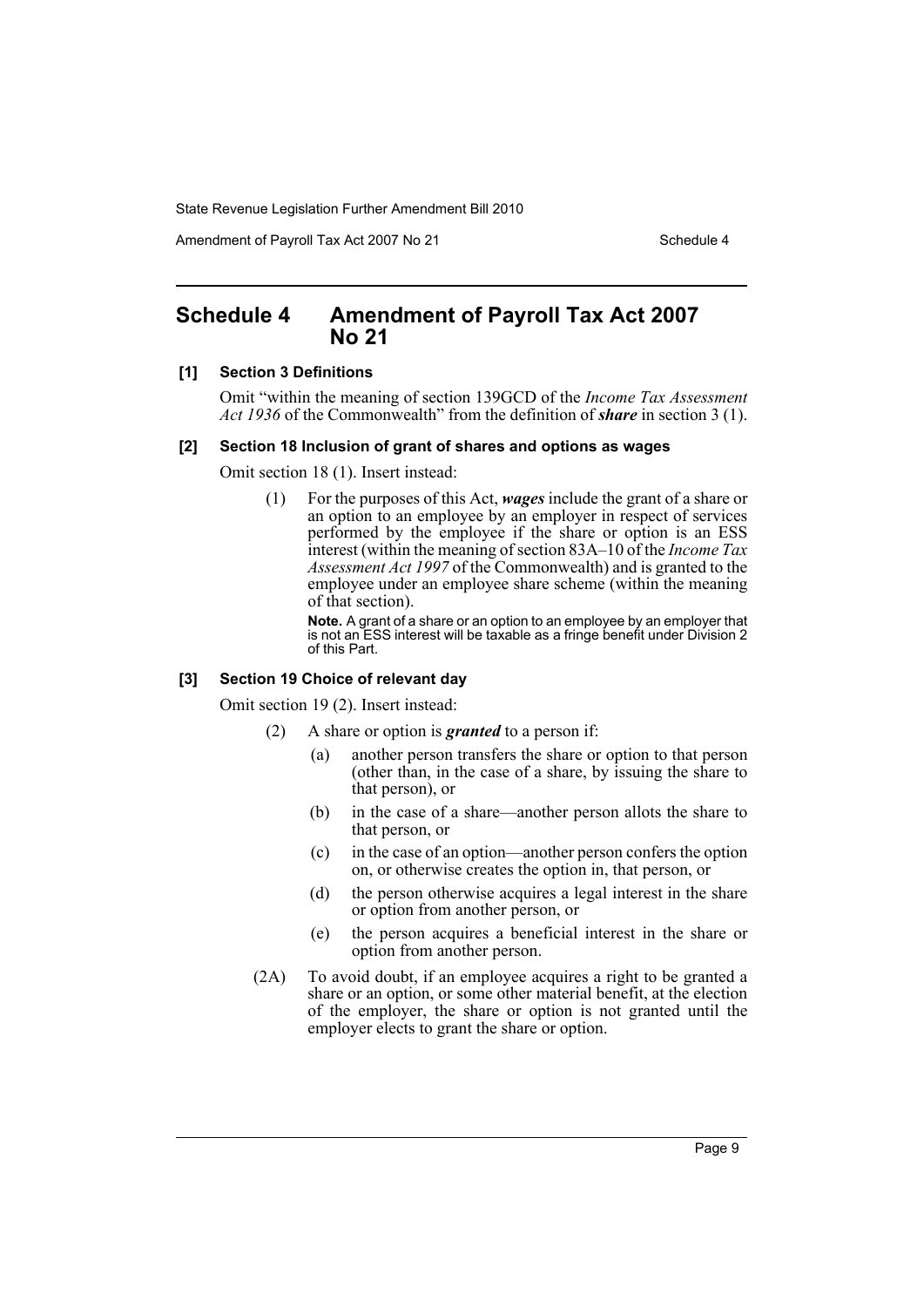Amendment of Payroll Tax Act 2007 No 21 Schedule 4

# <span id="page-10-0"></span>**Schedule 4 Amendment of Payroll Tax Act 2007 No 21**

#### **[1] Section 3 Definitions**

Omit "within the meaning of section 139GCD of the *Income Tax Assessment Act 1936* of the Commonwealth" from the definition of *share* in section 3 (1).

#### **[2] Section 18 Inclusion of grant of shares and options as wages**

Omit section 18 (1). Insert instead:

(1) For the purposes of this Act, *wages* include the grant of a share or an option to an employee by an employer in respect of services performed by the employee if the share or option is an ESS interest (within the meaning of section 83A–10 of the *Income Tax Assessment Act 1997* of the Commonwealth) and is granted to the employee under an employee share scheme (within the meaning of that section).

**Note.** A grant of a share or an option to an employee by an employer that is not an ESS interest will be taxable as a fringe benefit under Division 2 of this Part.

#### **[3] Section 19 Choice of relevant day**

Omit section 19 (2). Insert instead:

- (2) A share or option is *granted* to a person if:
	- (a) another person transfers the share or option to that person (other than, in the case of a share, by issuing the share to that person), or
	- (b) in the case of a share—another person allots the share to that person, or
	- (c) in the case of an option—another person confers the option on, or otherwise creates the option in, that person, or
	- (d) the person otherwise acquires a legal interest in the share or option from another person, or
	- (e) the person acquires a beneficial interest in the share or option from another person.
- (2A) To avoid doubt, if an employee acquires a right to be granted a share or an option, or some other material benefit, at the election of the employer, the share or option is not granted until the employer elects to grant the share or option.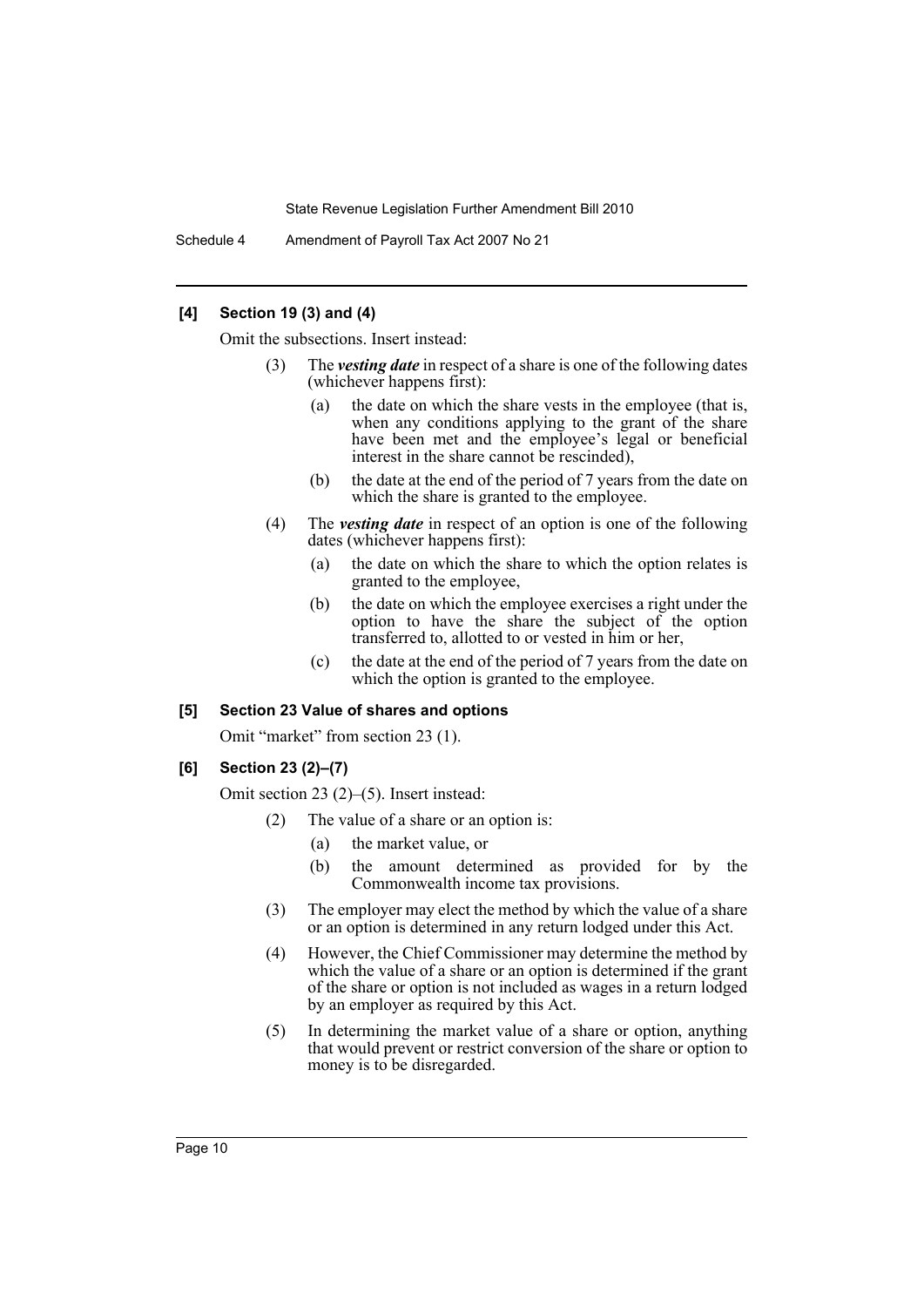Schedule 4 Amendment of Payroll Tax Act 2007 No 21

## **[4] Section 19 (3) and (4)**

Omit the subsections. Insert instead:

- (3) The *vesting date* in respect of a share is one of the following dates (whichever happens first):
	- (a) the date on which the share vests in the employee (that is, when any conditions applying to the grant of the share have been met and the employee's legal or beneficial interest in the share cannot be rescinded),
	- (b) the date at the end of the period of 7 years from the date on which the share is granted to the employee.
- (4) The *vesting date* in respect of an option is one of the following dates (whichever happens first):
	- (a) the date on which the share to which the option relates is granted to the employee,
	- (b) the date on which the employee exercises a right under the option to have the share the subject of the option transferred to, allotted to or vested in him or her,
	- (c) the date at the end of the period of 7 years from the date on which the option is granted to the employee.

#### **[5] Section 23 Value of shares and options**

Omit "market" from section 23 (1).

#### **[6] Section 23 (2)–(7)**

Omit section 23 (2)–(5). Insert instead:

- (2) The value of a share or an option is:
	- (a) the market value, or
	- (b) the amount determined as provided for by the Commonwealth income tax provisions.
- (3) The employer may elect the method by which the value of a share or an option is determined in any return lodged under this Act.
- (4) However, the Chief Commissioner may determine the method by which the value of a share or an option is determined if the grant of the share or option is not included as wages in a return lodged by an employer as required by this Act.
- (5) In determining the market value of a share or option, anything that would prevent or restrict conversion of the share or option to money is to be disregarded.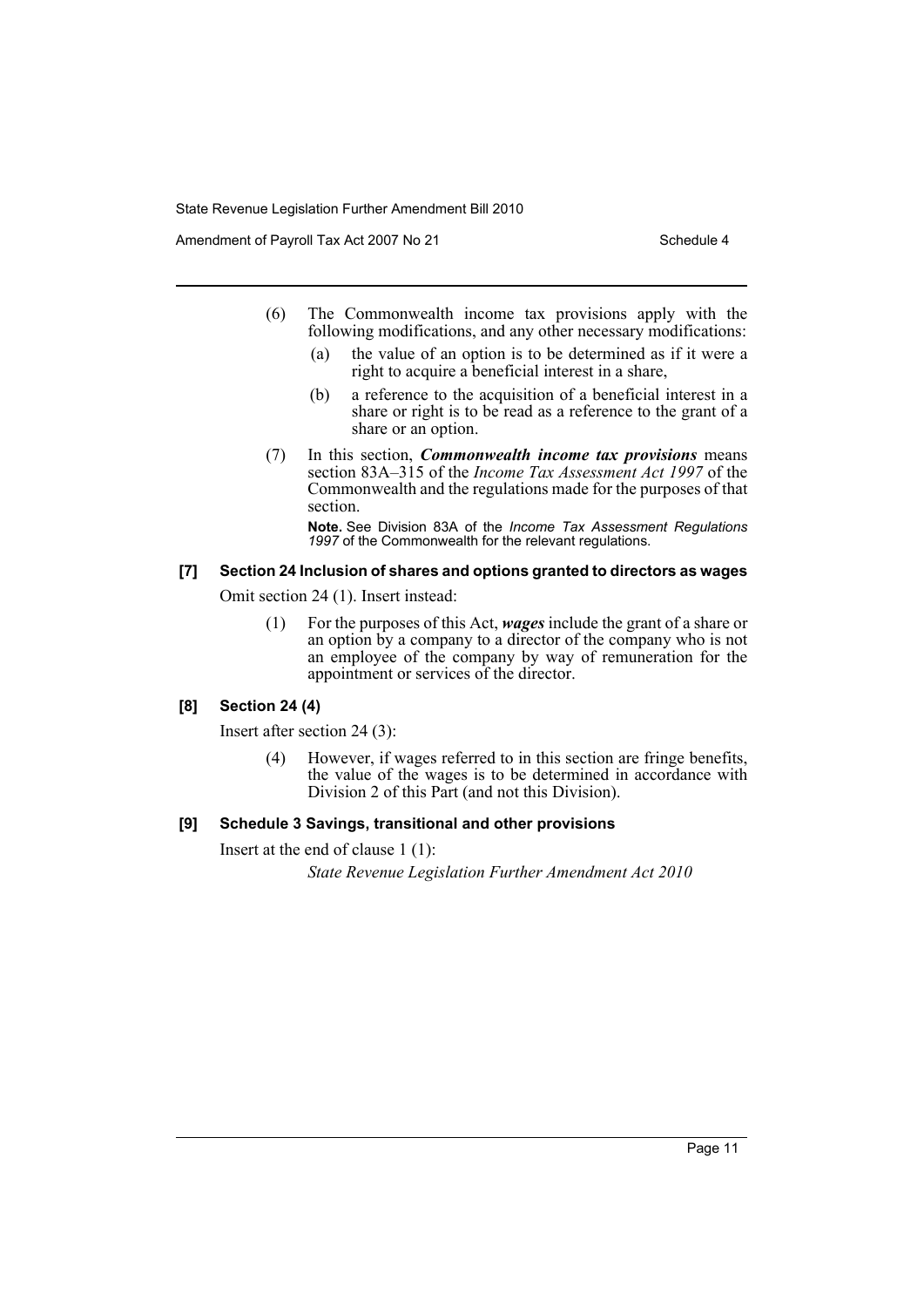Amendment of Payroll Tax Act 2007 No 21 Schedule 4

- (6) The Commonwealth income tax provisions apply with the following modifications, and any other necessary modifications:
	- (a) the value of an option is to be determined as if it were a right to acquire a beneficial interest in a share,
	- (b) a reference to the acquisition of a beneficial interest in a share or right is to be read as a reference to the grant of a share or an option.
- (7) In this section, *Commonwealth income tax provisions* means section 83A–315 of the *Income Tax Assessment Act 1997* of the Commonwealth and the regulations made for the purposes of that section.

**Note.** See Division 83A of the *Income Tax Assessment Regulations 1997* of the Commonwealth for the relevant regulations.

# **[7] Section 24 Inclusion of shares and options granted to directors as wages**

Omit section 24 (1). Insert instead:

(1) For the purposes of this Act, *wages* include the grant of a share or an option by a company to a director of the company who is not an employee of the company by way of remuneration for the appointment or services of the director.

#### **[8] Section 24 (4)**

Insert after section 24 (3):

(4) However, if wages referred to in this section are fringe benefits, the value of the wages is to be determined in accordance with Division 2 of this Part (and not this Division).

## **[9] Schedule 3 Savings, transitional and other provisions**

Insert at the end of clause 1 (1):

*State Revenue Legislation Further Amendment Act 2010*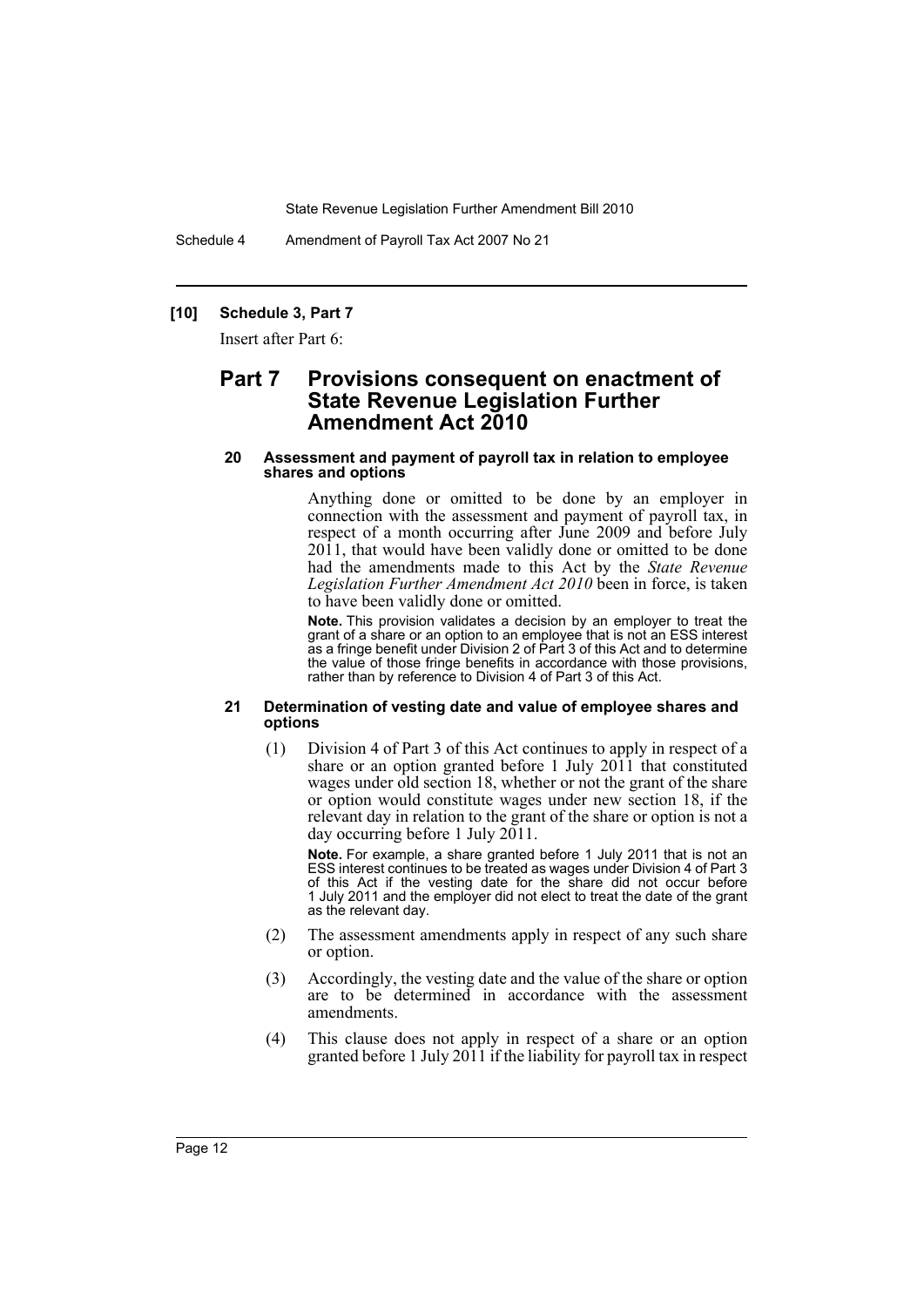Schedule 4 Amendment of Payroll Tax Act 2007 No 21

#### **[10] Schedule 3, Part 7**

Insert after Part 6:

# **Part 7 Provisions consequent on enactment of State Revenue Legislation Further Amendment Act 2010**

#### **20 Assessment and payment of payroll tax in relation to employee shares and options**

Anything done or omitted to be done by an employer in connection with the assessment and payment of payroll tax, in respect of a month occurring after June 2009 and before July 2011, that would have been validly done or omitted to be done had the amendments made to this Act by the *State Revenue Legislation Further Amendment Act 2010* been in force, is taken to have been validly done or omitted.

**Note.** This provision validates a decision by an employer to treat the grant of a share or an option to an employee that is not an ESS interest as a fringe benefit under Division 2 of Part 3 of this Act and to determine the value of those fringe benefits in accordance with those provisions, rather than by reference to Division 4 of Part 3 of this Act.

#### **21 Determination of vesting date and value of employee shares and options**

(1) Division 4 of Part 3 of this Act continues to apply in respect of a share or an option granted before 1 July 2011 that constituted wages under old section 18, whether or not the grant of the share or option would constitute wages under new section 18, if the relevant day in relation to the grant of the share or option is not a day occurring before 1 July 2011.

**Note.** For example, a share granted before 1 July 2011 that is not an ESS interest continues to be treated as wages under Division 4 of Part 3 of this Act if the vesting date for the share did not occur before 1 July 2011 and the employer did not elect to treat the date of the grant as the relevant day.

- (2) The assessment amendments apply in respect of any such share or option.
- (3) Accordingly, the vesting date and the value of the share or option are to be determined in accordance with the assessment amendments.
- (4) This clause does not apply in respect of a share or an option granted before 1 July 2011 if the liability for payroll tax in respect